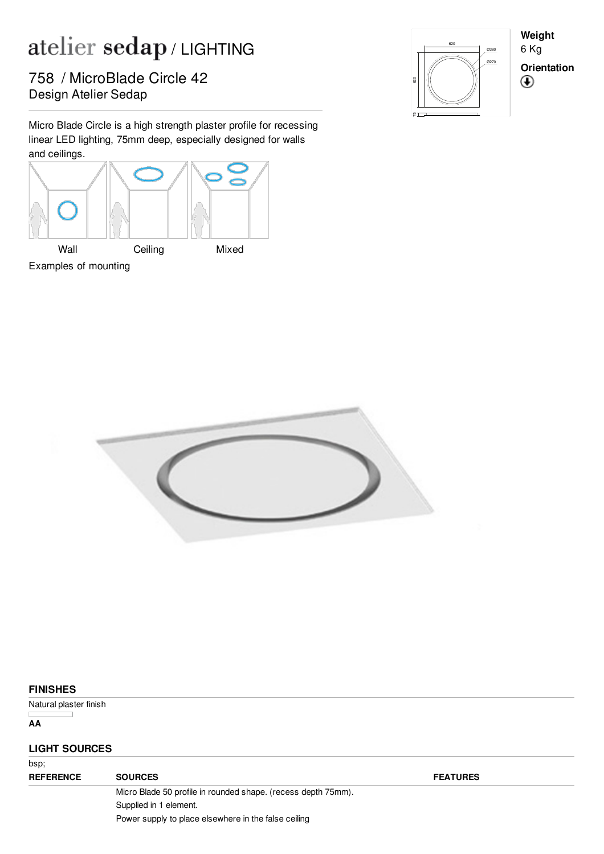## atelier sedap/LIGHTING

Pesign Atelier Sedap 758 / MicroBlade Circle 42

Micro Blade Circle is a high strength plaster profile for recessing linear LED lighting, 75mm deep, especially designed for walls and ceilings.





**Weight** 6 Kg **Orientation** $^{\circledR}$ 



## **FINISHES**

Natural plaster finish

**AA**

## **LIGHT SOURCES**

| bsp;             |                                                               |                 |  |
|------------------|---------------------------------------------------------------|-----------------|--|
| <b>REFERENCE</b> | <b>SOURCES</b>                                                | <b>FEATURES</b> |  |
|                  | Micro Blade 50 profile in rounded shape. (recess depth 75mm). |                 |  |
|                  | Supplied in 1 element.                                        |                 |  |
|                  | Power supply to place elsewhere in the false ceiling          |                 |  |